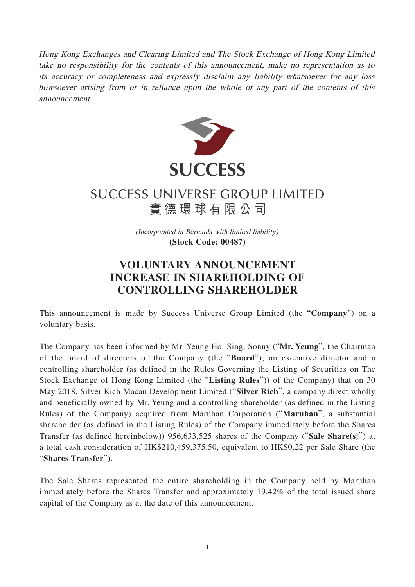Hong Kong Exchanges and Clearing Limited and The Stock Exchange of Hong Kong Limited take no responsibility for the contents of this announcement, make no representation as to its accuracy or completeness and expressly disclaim any liability whatsoever for any loss howsoever arising from or in reliance upon the whole or any part of the contents of this announcement.



## **SUCCESS UNIVERSE GROUP LIMITED** 實德環球有限公司

(Incorporated in Bermuda with limited liability) **(Stock Code: 00487)**

## **VOLUNTARY ANNOUNCEMENT INCREASE IN SHAREHOLDING OF CONTROLLING SHAREHOLDER**

This announcement is made by Success Universe Group Limited (the "**Company**") on a voluntary basis.

The Company has been informed by Mr. Yeung Hoi Sing, Sonny ("**Mr. Yeung**", the Chairman of the board of directors of the Company (the "**Board**"), an executive director and a controlling shareholder (as defined in the Rules Governing the Listing of Securities on The Stock Exchange of Hong Kong Limited (the "**Listing Rules**")) of the Company) that on 30 May 2018, Silver Rich Macau Development Limited ("**Silver Rich**", a company direct wholly and beneficially owned by Mr. Yeung and a controlling shareholder (as defined in the Listing Rules) of the Company) acquired from Maruhan Corporation ("**Maruhan**", a substantial shareholder (as defined in the Listing Rules) of the Company immediately before the Shares Transfer (as defined hereinbelow)) 956,633,525 shares of the Company ("**Sale Share(s)**") at a total cash consideration of HK\$210,459,375.50, equivalent to HK\$0.22 per Sale Share (the "**Shares Transfer**").

The Sale Shares represented the entire shareholding in the Company held by Maruhan immediately before the Shares Transfer and approximately 19.42% of the total issued share capital of the Company as at the date of this announcement.